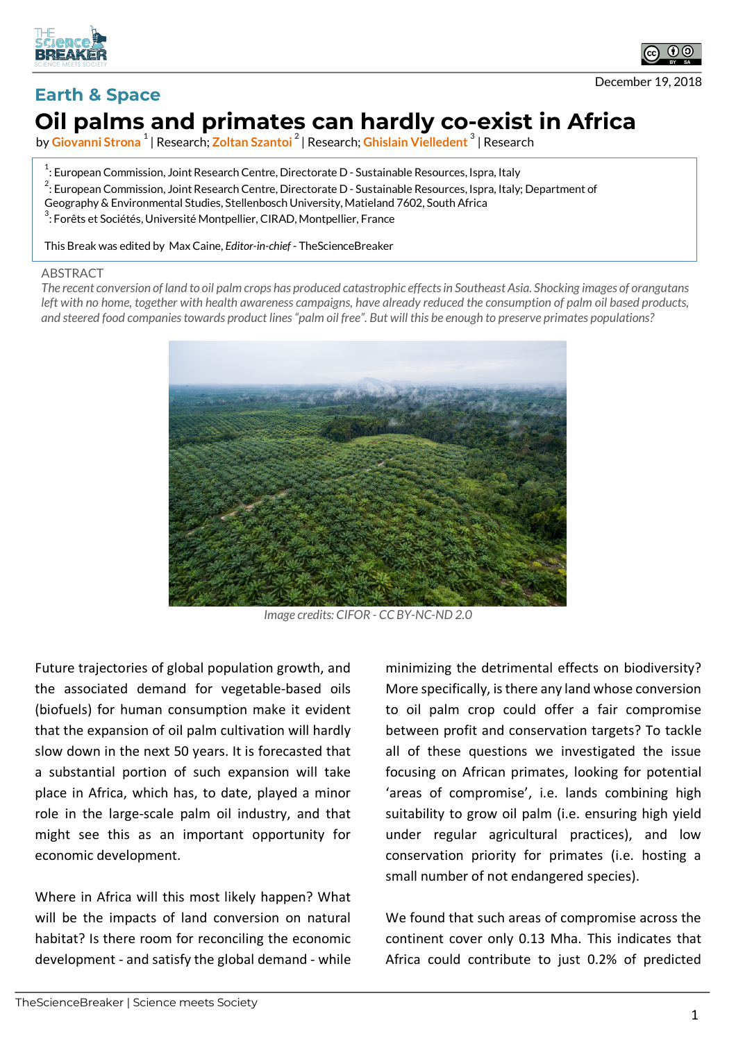



December 19, 2018

## **Earth & Space Oil palms and primates can hardly co-exist in Africa**

by **Giovanni Strona <sup>1</sup>** | Research; **Zoltan Szantoi <sup>2</sup>** | Research; **Ghislain Vielledent <sup>3</sup>** | Research

- $^{\rm 1}$ : European Commission, Joint Research Centre, Directorate D Sustainable Resources, Ispra, Italy  $^2$ : European Commission, Joint Research Centre, Directorate D - Sustainable Resources, Ispra, Italy; Department of
- Geography & Environmental Studies, Stellenbosch University, Matieland 7602, South Africa

 $^3$ : Forêts et Sociétés, Université Montpellier, CIRAD, Montpellier, France

This Break was edited by Max Caine, *Editor-in-chief* - TheScienceBreaker

## ABSTRACT

*The recent conversion of land to oil palm crops has produced catastrophic effects in Southeast Asia. Shocking images of orangutans left with no home, together with health awareness campaigns, have already reduced the consumption of palm oil based products, and steered food companies towards product lines "palm oil free". But will this be enough to preserve primates populations?*



*Image credits: CIFOR - CC BY-NC-ND 2.0*

Future trajectories of global population growth, and the associated demand for vegetable-based oils (biofuels) for human consumption make it evident that the expansion of oil palm cultivation will hardly slow down in the next 50 years. It is forecasted that a substantial portion of such expansion will take place in Africa, which has, to date, played a minor role in the large-scale palm oil industry, and that might see this as an important opportunity for economic development.

Where in Africa will this most likely happen? What will be the impacts of land conversion on natural habitat? Is there room for reconciling the economic development - and satisfy the global demand - while minimizing the detrimental effects on biodiversity? More specifically, is there any land whose conversion to oil palm crop could offer a fair compromise between profit and conservation targets? To tackle all of these questions we investigated the issue focusing on African primates, looking for potential 'areas of compromise', i.e. lands combining high suitability to grow oil palm (i.e. ensuring high yield under regular agricultural practices), and low conservation priority for primates (i.e. hosting a small number of not endangered species).

We found that such areas of compromise across the continent cover only 0.13 Mha. This indicates that Africa could contribute to just 0.2% of predicted